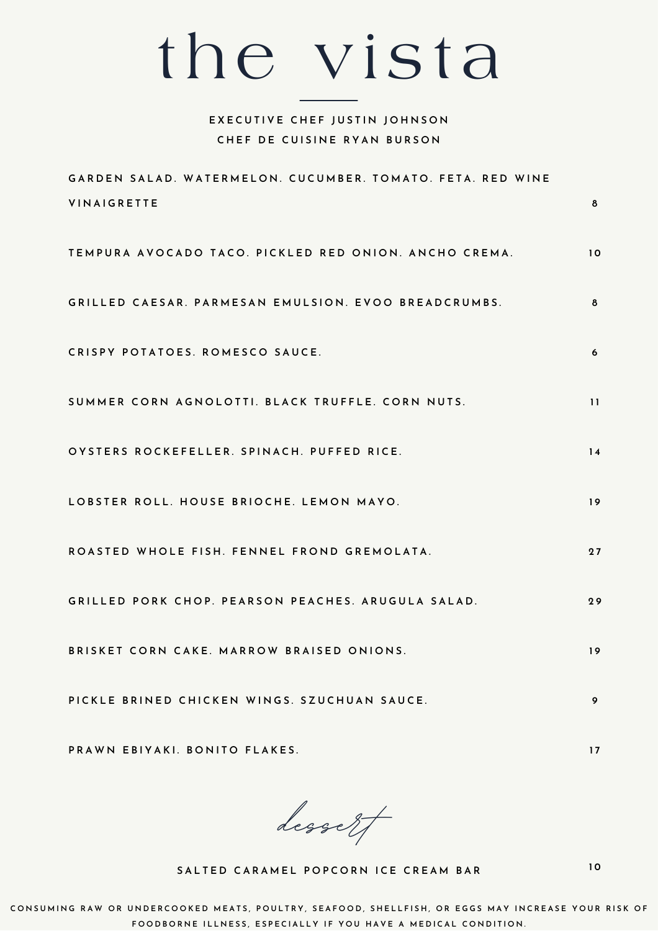## the vista

## **EXECUTIVE CHEF JUSTIN JOHNSON CHEF DE CUISINE RYAN BURSON**

| GARDEN SALAD. WATERMELON. CUCUMBER. TOMATO. FETA. RED WINE                                     |          |
|------------------------------------------------------------------------------------------------|----------|
| <b>VINAIGRETTE</b>                                                                             | 8        |
| TEMPURA AVOCADO TACO. PICKLED RED ONION. ANCHO CREMA.                                          | 10       |
| GRILLED CAESAR. PARMESAN EMULSION. EVOO BREADCRUMBS.                                           | 8        |
| CRISPY POTATOES. ROMESCO SAUCE.                                                                | 6        |
| SUMMER CORN AGNOLOTTI. BLACK TRUFFLE. CORN NUTS.<br>OYSTERS ROCKEFELLER. SPINACH. PUFFED RICE. | 11<br>14 |
| LOBSTER ROLL. HOUSE BRIOCHE. LEMON MAYO.                                                       | 19       |
| ROASTED WHOLE FISH. FENNEL FROND GREMOLATA.                                                    | 27       |
| GRILLED PORK CHOP. PEARSON PEACHES. ARUGULA SALAD.                                             | 29       |
| BRISKET CORN CAKE. MARROW BRAISED ONIONS.                                                      | 19       |
| PICKLE BRINED CHICKEN WINGS. SZUCHUAN SAUCE.                                                   | 9        |
|                                                                                                |          |

**dessert**

PRAWN EBIYAKI. BONITO FLAKES.

SALTED CARAMEL POPCORN ICE CREAM BAR

**1 0**

**1 7**

CONSUMING RAW OR UNDERCOOKED MEATS, POULTRY, SEAFOOD, SHELLFISH, OR EGGS MAY INCREASE YOUR RISK OF FOODBORNE ILLNESS, ESPECIALLY IF YOU HAVE A MEDICAL CONDITION.